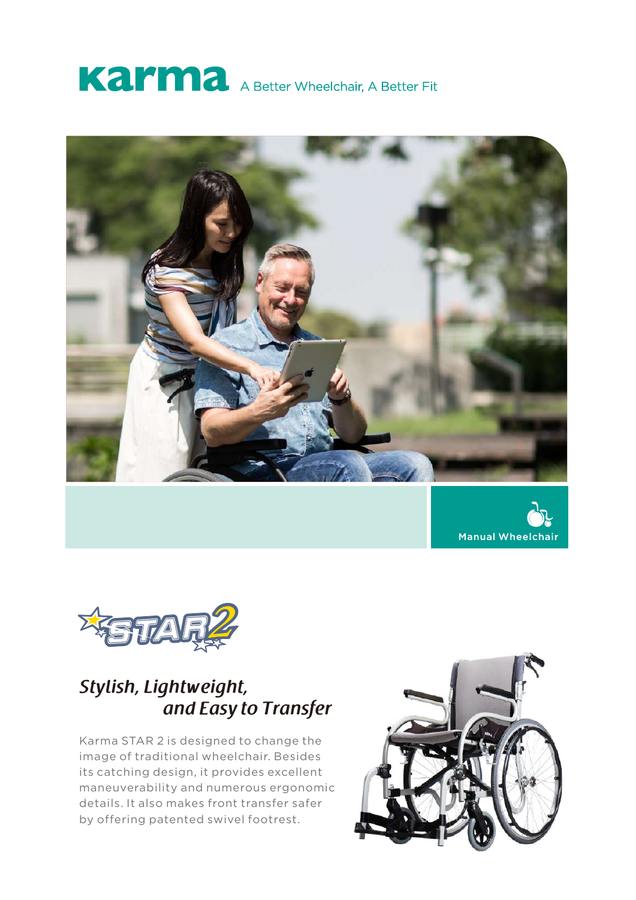







# *Stylish, Lightweight, and Easy to Transfer*

Karma STAR 2 is designed to change the image of traditional wheelchair. Besides its catching design, it provides excellent maneuverability and numerous ergonomic details. It also makes front transfer safer by offering patented swivel footrest.